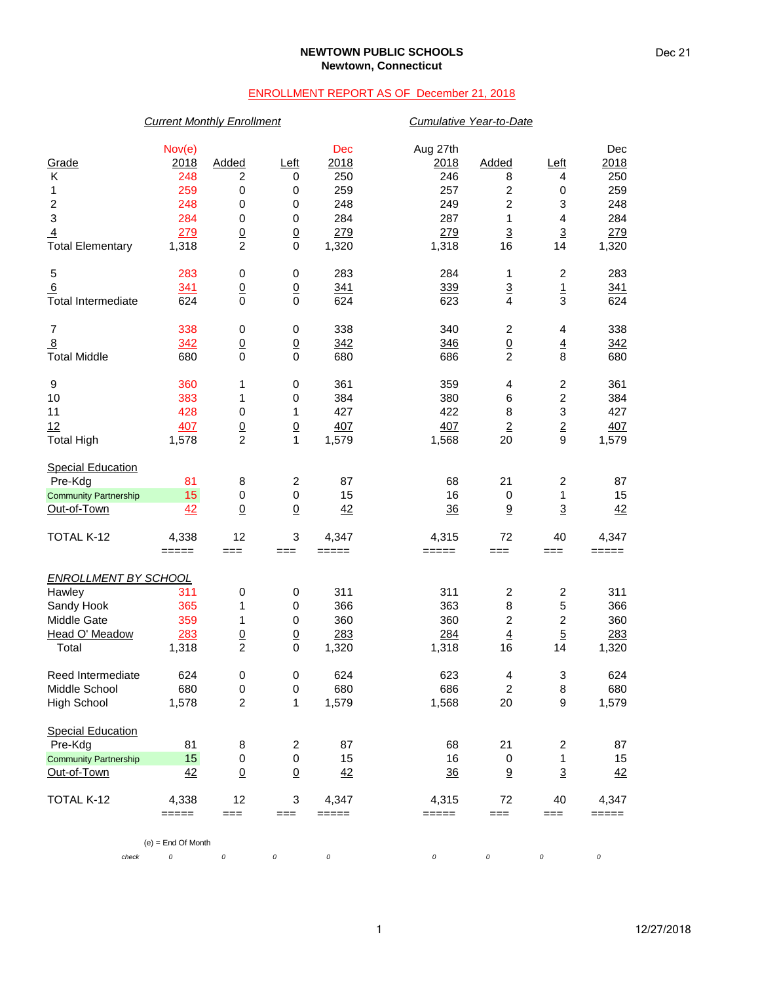### **NEWTOWN PUBLIC SCHOOLS Newtown, Connecticut**

## ENROLLMENT REPORT AS OF December 21, 2018

## *Current Monthly Enrollment Cumulative Year-to-Date*

|                              | Nov(e)               |                  |                         | Dec     | Aug 27th       |                         |                         | Dec     |
|------------------------------|----------------------|------------------|-------------------------|---------|----------------|-------------------------|-------------------------|---------|
| Grade                        | 2018                 | Added            | Left                    | 2018    | 2018           | Added                   | <u>Left</u>             | 2018    |
| K                            | 248                  | 2                | 0                       | 250     | 246            | 8                       | 4                       | 250     |
| 1                            | 259                  | $\pmb{0}$        | 0                       | 259     | 257            | $\boldsymbol{2}$        | $\,0\,$                 | 259     |
| $\overline{\mathbf{c}}$      | 248                  | 0                | 0                       | 248     | 249            | $\boldsymbol{2}$        | 3                       | 248     |
| 3                            | 284                  | 0                | 0                       | 284     | 287            | 1                       | 4                       | 284     |
| $\overline{4}$               | 279                  | $\frac{0}{2}$    | $\underline{0}$         | 279     | 279            | $\overline{3}$          | $\overline{3}$          | 279     |
| <b>Total Elementary</b>      | 1,318                |                  | $\mathbf 0$             | 1,320   | 1,318          | 16                      | 14                      | 1,320   |
| 5                            | 283                  | 0                | 0                       | 283     | 284            | 1                       | $\overline{\mathbf{c}}$ | 283     |
| $6\phantom{1}$               | 341                  | $\underline{0}$  | $\underline{0}$         | 341     | 339            | $\overline{3}$          | $\overline{1}$          | 341     |
| <b>Total Intermediate</b>    | 624                  | $\mathbf 0$      | $\mathbf 0$             | 624     | 623            | $\overline{\mathbf{4}}$ | 3                       | 624     |
| $\boldsymbol{7}$             | 338                  | 0                | 0                       | 338     | 340            | $\overline{\mathbf{c}}$ | 4                       | 338     |
| $\overline{8}$               | 342                  | $\underline{0}$  | $\underline{0}$         | 342     | 346            | $\frac{0}{2}$           | $\overline{4}$          | 342     |
| <b>Total Middle</b>          | 680                  | $\mathbf 0$      | $\mathbf 0$             | 680     | 686            |                         | 8                       | 680     |
| 9                            | 360                  | 1                | 0                       | 361     | 359            | 4                       | $\overline{\mathbf{c}}$ | 361     |
| 10                           | 383                  | 1                | $\,0\,$                 | 384     | 380            | 6                       | $\overline{c}$          | 384     |
| 11                           | 428                  | $\pmb{0}$        | 1                       | 427     | 422            | 8                       | 3                       | 427     |
| 12                           | 407                  | $\underline{0}$  | $\underline{0}$         | 407     | 407            | $\overline{2}$          | $\overline{2}$          | 407     |
| <b>Total High</b>            | 1,578                | $\overline{2}$   | 1                       | 1,579   | 1,568          | 20                      | $\boldsymbol{9}$        | 1,579   |
| <b>Special Education</b>     |                      |                  |                         |         |                |                         |                         |         |
| Pre-Kdg                      | 81                   | 8                | $\overline{c}$          | 87      | 68             | 21                      | 2                       | 87      |
| <b>Community Partnership</b> | 15                   | $\pmb{0}$        | $\mathbf 0$             | 15      | 16             | $\pmb{0}$               | 1                       | 15      |
| Out-of-Town                  | 42                   | $\Omega$         | $\underline{0}$         | 42      | 36             | $\underline{9}$         | $\overline{3}$          | 42      |
| TOTAL K-12                   | 4,338                | 12               | 3                       | 4,347   | 4,315          | 72                      | 40                      | 4,347   |
|                              | =====                | $==$             | ===                     | $=====$ | =====          | $==$                    | ===                     | $=====$ |
| <b>ENROLLMENT BY SCHOOL</b>  |                      |                  |                         |         |                |                         |                         |         |
| Hawley                       | 311                  | $\pmb{0}$        | 0                       | 311     | 311            | $\boldsymbol{2}$        | $\boldsymbol{2}$        | 311     |
| Sandy Hook                   | 365                  | 1                | 0                       | 366     | 363            | 8                       | 5                       | 366     |
| Middle Gate                  | 359                  | 1                | 0                       | 360     | 360            | $\boldsymbol{2}$        | $\overline{\mathbf{c}}$ | 360     |
| Head O' Meadow               | 283                  | $\overline{0}$   | $\underline{0}$         | 283     | 284            | $\overline{4}$          | $\overline{5}$          | 283     |
| Total                        | 1,318                | $\overline{c}$   | 0                       | 1,320   | 1,318          | 16                      | 14                      | 1,320   |
| Reed Intermediate            | 624                  | $\pmb{0}$        | 0                       | 624     | 623            | 4                       | 3                       | 624     |
| Middle School                | 680                  | $\mathbf 0$      | 0                       | 680     | 686            | $\overline{2}$          | 8                       | 680     |
| <b>High School</b>           | 1,578                | $\boldsymbol{2}$ | 1                       | 1,579   | 1,568          | 20                      | $\boldsymbol{9}$        | 1,579   |
| <b>Special Education</b>     |                      |                  |                         |         |                |                         |                         |         |
| Pre-Kdg                      | 81                   | 8                | $\overline{\mathbf{c}}$ | 87      | 68             | 21                      | $\overline{\mathbf{c}}$ | 87      |
| <b>Community Partnership</b> | 15                   | 0                | $\,0\,$                 | 15      | 16             | 0                       | 1                       | 15      |
| Out-of-Town                  | 42                   | $\underline{0}$  | $\underline{0}$         | 42      | $\frac{36}{5}$ | $9\,$                   | $\overline{3}$          | 42      |
| TOTAL K-12                   | 4,338                | 12               | 3                       | 4,347   | 4,315          | 72                      | 40                      | 4,347   |
|                              | =====                | $==$             | ===                     | =====   | =====          | ===                     | ===                     | =====   |
|                              | $(e)$ = End Of Month |                  |                         |         |                |                         |                         |         |
| check                        | 0                    | 0                | 0                       | 0       | 0              | 0                       | 0                       | 0       |